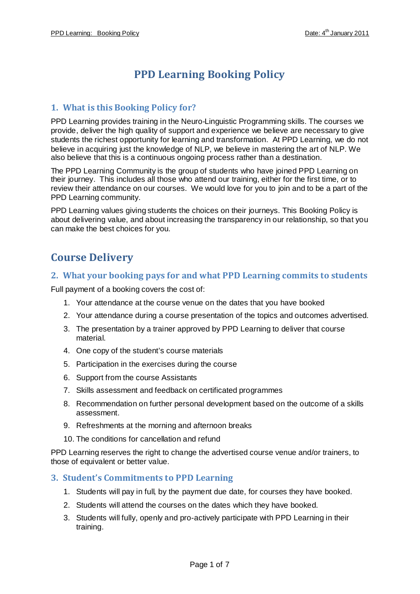# **PPD Learning Booking Policy**

#### **1. What is this Booking Policy for?**

PPD Learning provides training in the Neuro-Linguistic Programming skills. The courses we provide, deliver the high quality of support and experience we believe are necessary to give students the richest opportunity for learning and transformation. At PPD Learning, we do not believe in acquiring just the knowledge of NLP, we believe in mastering the art of NLP. We also believe that this is a continuous ongoing process rather than a destination.

The PPD Learning Community is the group of students who have joined PPD Learning on their journey. This includes all those who attend our training, either for the first time, or to review their attendance on our courses. We would love for you to join and to be a part of the PPD Learning community.

PPD Learning values giving students the choices on their journeys. This Booking Policy is about delivering value, and about increasing the transparency in our relationship, so that you can make the best choices for you.

## **Course Delivery**

#### **2. What your booking pays for and what PPD Learning commits to students**

Full payment of a booking covers the cost of:

- 1. Your attendance at the course venue on the dates that you have booked
- 2. Your attendance during a course presentation of the topics and outcomes advertised.
- 3. The presentation by a trainer approved by PPD Learning to deliver that course material.
- 4. One copy of the student's course materials
- 5. Participation in the exercises during the course
- 6. Support from the course Assistants
- 7. Skills assessment and feedback on certificated programmes
- 8. Recommendation on further personal development based on the outcome of a skills assessment.
- 9. Refreshments at the morning and afternoon breaks
- 10. The conditions for cancellation and refund

PPD Learning reserves the right to change the advertised course venue and/or trainers, to those of equivalent or better value.

#### **3. Student's Commitments to PPD Learning**

- 1. Students will pay in full, by the payment due date, for courses they have booked.
- 2. Students will attend the courses on the dates which they have booked.
- 3. Students will fully, openly and pro-actively participate with PPD Learning in their training.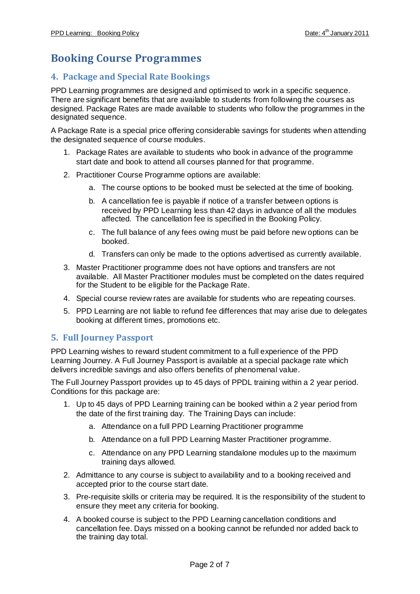## **Booking Course Programmes**

#### **4. Package and Special Rate Bookings**

PPD Learning programmes are designed and optimised to work in a specific sequence. There are significant benefits that are available to students from following the courses as designed. Package Rates are made available to students who follow the programmes in the designated sequence.

A Package Rate is a special price offering considerable savings for students when attending the designated sequence of course modules.

- 1. Package Rates are available to students who book in advance of the programme start date and book to attend all courses planned for that programme.
- 2. Practitioner Course Programme options are available:
	- a. The course options to be booked must be selected at the time of booking.
	- b. A cancellation fee is payable if notice of a transfer between options is received by PPD Learning less than 42 days in advance of all the modules affected. The cancellation fee is specified in the Booking Policy.
	- c. The full balance of any fees owing must be paid before new options can be booked.
	- d. Transfers can only be made to the options advertised as currently available.
- 3. Master Practitioner programme does not have options and transfers are not available. All Master Practitioner modules must be completed on the dates required for the Student to be eligible for the Package Rate.
- 4. Special course review rates are available for students who are repeating courses.
- 5. PPD Learning are not liable to refund fee differences that may arise due to delegates booking at different times, promotions etc.

#### **5. Full Journey Passport**

PPD Learning wishes to reward student commitment to a full experience of the PPD Learning Journey. A Full Journey Passport is available at a special package rate which delivers incredible savings and also offers benefits of phenomenal value.

The Full Journey Passport provides up to 45 days of PPDL training within a 2 year period. Conditions for this package are:

- 1. Up to 45 days of PPD Learning training can be booked within a 2 year period from the date of the first training day. The Training Days can include:
	- a. Attendance on a full PPD Learning Practitioner programme
	- b. Attendance on a full PPD Learning Master Practitioner programme.
	- c. Attendance on any PPD Learning standalone modules up to the maximum training days allowed.
- 2. Admittance to any course is subject to availability and to a booking received and accepted prior to the course start date.
- 3. Pre-requisite skills or criteria may be required. It is the responsibility of the student to ensure they meet any criteria for booking.
- 4. A booked course is subject to the PPD Learning cancellation conditions and cancellation fee. Days missed on a booking cannot be refunded nor added back to the training day total.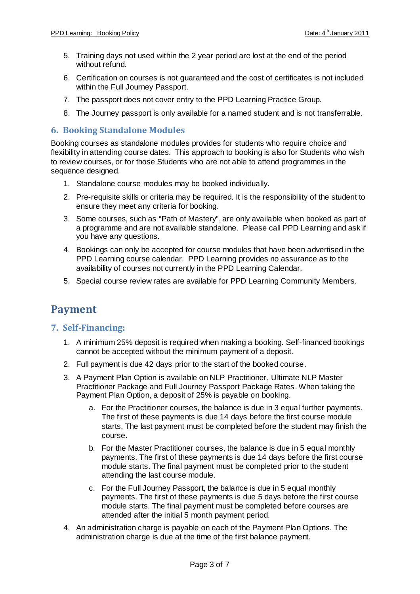- 5. Training days not used within the 2 year period are lost at the end of the period without refund.
- 6. Certification on courses is not guaranteed and the cost of certificates is not included within the Full Journey Passport.
- 7. The passport does not cover entry to the PPD Learning Practice Group.
- 8. The Journey passport is only available for a named student and is not transferrable.

#### **6. Booking Standalone Modules**

Booking courses as standalone modules provides for students who require choice and flexibility in attending course dates. This approach to booking is also for Students who wish to review courses, or for those Students who are not able to attend programmes in the sequence designed.

- 1. Standalone course modules may be booked individually.
- 2. Pre-requisite skills or criteria may be required. It is the responsibility of the student to ensure they meet any criteria for booking.
- 3. Some courses, such as "Path of Mastery", are only available when booked as part of a programme and are not available standalone. Please call PPD Learning and ask if you have any questions.
- 4. Bookings can only be accepted for course modules that have been advertised in the PPD Learning course calendar. PPD Learning provides no assurance as to the availability of courses not currently in the PPD Learning Calendar.
- 5. Special course review rates are available for PPD Learning Community Members.

## **Payment**

#### **7. Self-Financing:**

- 1. A minimum 25% deposit is required when making a booking. Self-financed bookings cannot be accepted without the minimum payment of a deposit.
- 2. Full payment is due 42 days prior to the start of the booked course.
- 3. A Payment Plan Option is available on NLP Practitioner, Ultimate NLP Master Practitioner Package and Full Journey Passport Package Rates. When taking the Payment Plan Option, a deposit of 25% is payable on booking.
	- a. For the Practitioner courses, the balance is due in 3 equal further payments. The first of these payments is due 14 days before the first course module starts. The last payment must be completed before the student may finish the course.
	- b. For the Master Practitioner courses, the balance is due in 5 equal monthly payments. The first of these payments is due 14 days before the first course module starts. The final payment must be completed prior to the student attending the last course module.
	- c. For the Full Journey Passport, the balance is due in 5 equal monthly payments. The first of these payments is due 5 days before the first course module starts. The final payment must be completed before courses are attended after the initial 5 month payment period.
- 4. An administration charge is payable on each of the Payment Plan Options. The administration charge is due at the time of the first balance payment.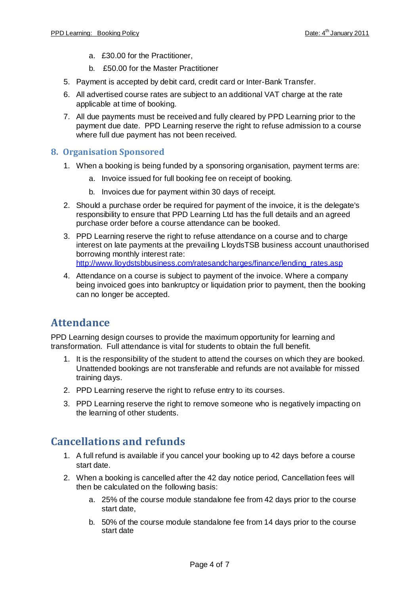- a. £30.00 for the Practitioner,
- b. £50.00 for the Master Practitioner
- 5. Payment is accepted by debit card, credit card or Inter-Bank Transfer.
- 6. All advertised course rates are subject to an additional VAT charge at the rate applicable at time of booking.
- 7. All due payments must be received and fully cleared by PPD Learning prior to the payment due date. PPD Learning reserve the right to refuse admission to a course where full due payment has not been received.

#### **8. Organisation Sponsored**

- 1. When a booking is being funded by a sponsoring organisation, payment terms are:
	- a. Invoice issued for full booking fee on receipt of booking.
	- b. Invoices due for payment within 30 days of receipt.
- 2. Should a purchase order be required for payment of the invoice, it is the delegate's responsibility to ensure that PPD Learning Ltd has the full details and an agreed purchase order before a course attendance can be booked.
- 3. PPD Learning reserve the right to refuse attendance on a course and to charge interest on late payments at the prevailing LloydsTSB business account unauthorised borrowing monthly interest rate: http://www.lloydstsbbusiness.com/ratesandcharges/finance/lending\_rates.asp
- 4. Attendance on a course is subject to payment of the invoice. Where a company being invoiced goes into bankruptcy or liquidation prior to payment, then the booking can no longer be accepted.

## **Attendance**

PPD Learning design courses to provide the maximum opportunity for learning and transformation. Full attendance is vital for students to obtain the full benefit.

- 1. It is the responsibility of the student to attend the courses on which they are booked. Unattended bookings are not transferable and refunds are not available for missed training days.
- 2. PPD Learning reserve the right to refuse entry to its courses.
- 3. PPD Learning reserve the right to remove someone who is negatively impacting on the learning of other students.

### **Cancellations and refunds**

- 1. A full refund is available if you cancel your booking up to 42 days before a course start date.
- 2. When a booking is cancelled after the 42 day notice period, Cancellation fees will then be calculated on the following basis:
	- a. 25% of the course module standalone fee from 42 days prior to the course start date,
	- b. 50% of the course module standalone fee from 14 days prior to the course start date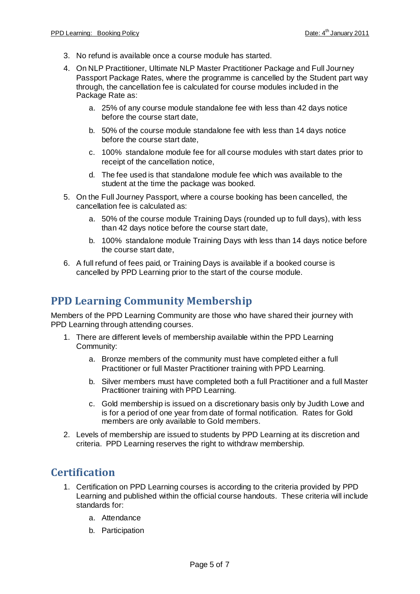- 3. No refund is available once a course module has started.
- 4. On NLP Practitioner, Ultimate NLP Master Practitioner Package and Full Journey Passport Package Rates, where the programme is cancelled by the Student part way through, the cancellation fee is calculated for course modules included in the Package Rate as:
	- a. 25% of any course module standalone fee with less than 42 days notice before the course start date,
	- b. 50% of the course module standalone fee with less than 14 days notice before the course start date,
	- c. 100% standalone module fee for all course modules with start dates prior to receipt of the cancellation notice,
	- d. The fee used is that standalone module fee which was available to the student at the time the package was booked.
- 5. On the Full Journey Passport, where a course booking has been cancelled, the cancellation fee is calculated as:
	- a. 50% of the course module Training Days (rounded up to full days), with less than 42 days notice before the course start date,
	- b. 100% standalone module Training Days with less than 14 days notice before the course start date,
- 6. A full refund of fees paid, or Training Days is available if a booked course is cancelled by PPD Learning prior to the start of the course module.

## **PPD Learning Community Membership**

Members of the PPD Learning Community are those who have shared their journey with PPD Learning through attending courses.

- 1. There are different levels of membership available within the PPD Learning Community:
	- a. Bronze members of the community must have completed either a full Practitioner or full Master Practitioner training with PPD Learning.
	- b. Silver members must have completed both a full Practitioner and a full Master Practitioner training with PPD Learning.
	- c. Gold membership is issued on a discretionary basis only by Judith Lowe and is for a period of one year from date of formal notification. Rates for Gold members are only available to Gold members.
- 2. Levels of membership are issued to students by PPD Learning at its discretion and criteria. PPD Learning reserves the right to withdraw membership.

## **Certification**

- 1. Certification on PPD Learning courses is according to the criteria provided by PPD Learning and published within the official course handouts. These criteria will include standards for:
	- a. Attendance
	- b. Participation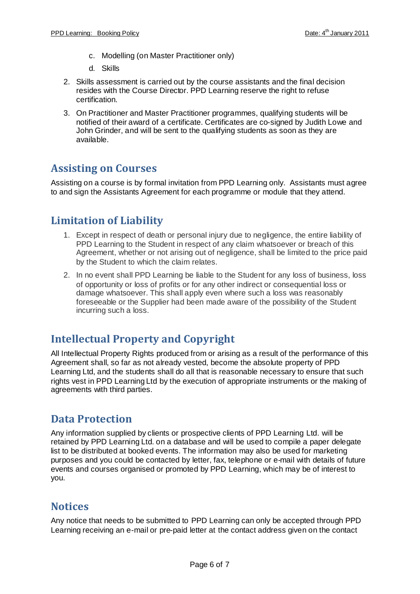- c. Modelling (on Master Practitioner only)
- d. Skills
- 2. Skills assessment is carried out by the course assistants and the final decision resides with the Course Director. PPD Learning reserve the right to refuse certification.
- 3. On Practitioner and Master Practitioner programmes, qualifying students will be notified of their award of a certificate. Certificates are co-signed by Judith Lowe and John Grinder, and will be sent to the qualifying students as soon as they are available.

### **Assisting on Courses**

Assisting on a course is by formal invitation from PPD Learning only. Assistants must agree to and sign the Assistants Agreement for each programme or module that they attend.

## **Limitation of Liability**

- 1. Except in respect of death or personal injury due to negligence, the entire liability of PPD Learning to the Student in respect of any claim whatsoever or breach of this Agreement, whether or not arising out of negligence, shall be limited to the price paid by the Student to which the claim relates.
- 2. In no event shall PPD Learning be liable to the Student for any loss of business, loss of opportunity or loss of profits or for any other indirect or consequential loss or damage whatsoever. This shall apply even where such a loss was reasonably foreseeable or the Supplier had been made aware of the possibility of the Student incurring such a loss.

## **Intellectual Property and Copyright**

All Intellectual Property Rights produced from or arising as a result of the performance of this Agreement shall, so far as not already vested, become the absolute property of PPD Learning Ltd, and the students shall do all that is reasonable necessary to ensure that such rights vest in PPD Learning Ltd by the execution of appropriate instruments or the making of agreements with third parties.

## **Data Protection**

Any information supplied by clients or prospective clients of PPD Learning Ltd. will be retained by PPD Learning Ltd. on a database and will be used to compile a paper delegate list to be distributed at booked events. The information may also be used for marketing purposes and you could be contacted by letter, fax, telephone or e-mail with details of future events and courses organised or promoted by PPD Learning, which may be of interest to you.

### **Notices**

Any notice that needs to be submitted to PPD Learning can only be accepted through PPD Learning receiving an e-mail or pre-paid letter at the contact address given on the contact